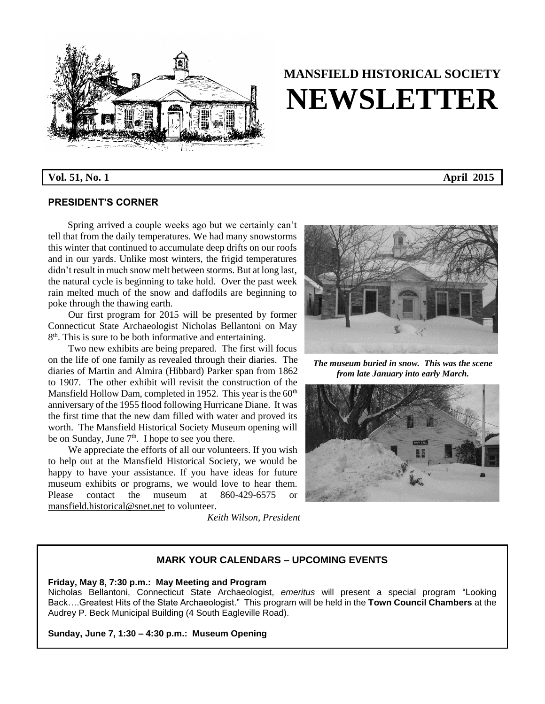

# **MANSFIELD HISTORICAL SOCIETY NEWSLETTER**

**Vol. 51, No. 1 April 2015**

# **PRESIDENT'S CORNER**

 Spring arrived a couple weeks ago but we certainly can't tell that from the daily temperatures. We had many snowstorms this winter that continued to accumulate deep drifts on our roofs and in our yards. Unlike most winters, the frigid temperatures didn't result in much snow melt between storms. But at long last, the natural cycle is beginning to take hold. Over the past week rain melted much of the snow and daffodils are beginning to poke through the thawing earth.

Our first program for 2015 will be presented by former Connecticut State Archaeologist Nicholas Bellantoni on May 8<sup>th</sup>. This is sure to be both informative and entertaining.

Two new exhibits are being prepared. The first will focus on the life of one family as revealed through their diaries. The diaries of Martin and Almira (Hibbard) Parker span from 1862 to 1907. The other exhibit will revisit the construction of the Mansfield Hollow Dam, completed in 1952. This year is the  $60<sup>th</sup>$ anniversary of the 1955 flood following Hurricane Diane. It was the first time that the new dam filled with water and proved its worth. The Mansfield Historical Society Museum opening will be on Sunday, June  $7<sup>th</sup>$ . I hope to see you there.

We appreciate the efforts of all our volunteers. If you wish to help out at the Mansfield Historical Society, we would be happy to have your assistance. If you have ideas for future museum exhibits or programs, we would love to hear them. Please contact the museum at 860-429-6575 or [mansfield.historical@snet.net](mailto:mansfield.historical@snet.net) to volunteer.

 *Keith Wilson, President*



*The museum buried in snow. This was the scene from late January into early March.*



# **MARK YOUR CALENDARS – UPCOMING EVENTS**

# **Friday, May 8, 7:30 p.m.: May Meeting and Program**

Nicholas Bellantoni, Connecticut State Archaeologist, *emeritus* will present a special program "Looking Back….Greatest Hits of the State Archaeologist." This program will be held in the **Town Council Chambers** at the Audrey P. Beck Municipal Building (4 South Eagleville Road).

**Sunday, June 7, 1:30 – 4:30 p.m.: Museum Opening**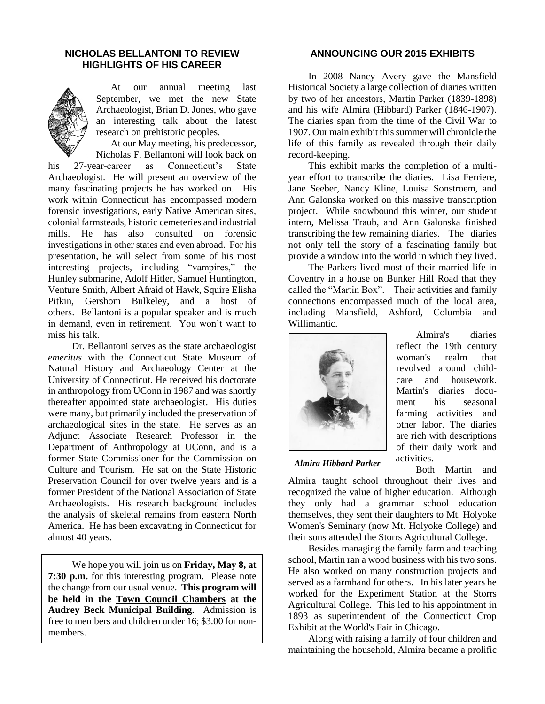# **NICHOLAS BELLANTONI TO REVIEW HIGHLIGHTS OF HIS CAREER**



 At our annual meeting last September, we met the new State Archaeologist, Brian D. Jones, who gave an interesting talk about the latest research on prehistoric peoples.

 At our May meeting, his predecessor, Nicholas F. Bellantoni will look back on

his 27-year-career as Connecticut's State Archaeologist. He will present an overview of the many fascinating projects he has worked on. His work within Connecticut has encompassed modern forensic investigations, early Native American sites, colonial farmsteads, historic cemeteries and industrial mills. He has also consulted on forensic investigations in other states and even abroad. For his presentation, he will select from some of his most interesting projects, including "vampires," the Hunley submarine, Adolf Hitler, Samuel Huntington, Venture Smith, Albert Afraid of Hawk, Squire Elisha Pitkin, Gershom Bulkeley, and a host of others. Bellantoni is a popular speaker and is much in demand, even in retirement. You won't want to miss his talk.

Dr. Bellantoni serves as the state archaeologist *emeritus* with the Connecticut State Museum of Natural History and Archaeology Center at the University of Connecticut. He received his doctorate in anthropology from UConn in 1987 and was shortly thereafter appointed state archaeologist. His duties were many, but primarily included the preservation of archaeological sites in the state. He serves as an Adjunct Associate Research Professor in the Department of Anthropology at UConn, and is a former State Commissioner for the Commission on Culture and Tourism. He sat on the State Historic Preservation Council for over twelve years and is a former President of the National Association of State Archaeologists. His research background includes the analysis of skeletal remains from eastern North America. He has been excavating in Connecticut for almost 40 years.

We hope you will join us on **Friday, May 8, at 7:30 p.m.** for this interesting program. Please note the change from our usual venue. **This program will be held in the Town Council Chambers at the Audrey Beck Municipal Building.** Admission is free to members and children under 16; \$3.00 for nonmembers.

### **ANNOUNCING OUR 2015 EXHIBITS**

In 2008 Nancy Avery gave the Mansfield Historical Society a large collection of diaries written by two of her ancestors, Martin Parker (1839-1898) and his wife Almira (Hibbard) Parker (1846-1907). The diaries span from the time of the Civil War to 1907. Our main exhibit this summer will chronicle the life of this family as revealed through their daily record-keeping.

This exhibit marks the completion of a multiyear effort to transcribe the diaries. Lisa Ferriere, Jane Seeber, Nancy Kline, Louisa Sonstroem, and Ann Galonska worked on this massive transcription project. While snowbound this winter, our student intern, Melissa Traub, and Ann Galonska finished transcribing the few remaining diaries. The diaries not only tell the story of a fascinating family but provide a window into the world in which they lived.

The Parkers lived most of their married life in Coventry in a house on Bunker Hill Road that they called the "Martin Box". Their activities and family connections encompassed much of the local area, including Mansfield, Ashford, Columbia and Willimantic.



Almira's diaries reflect the 19th century woman's realm that revolved around childcare and housework. Martin's diaries document his seasonal farming activities and other labor. The diaries are rich with descriptions of their daily work and activities.

*Almira Hibbard Parker*

Both Martin and Almira taught school throughout their lives and recognized the value of higher education. Although they only had a grammar school education themselves, they sent their daughters to Mt. Holyoke Women's Seminary (now Mt. Holyoke College) and their sons attended the Storrs Agricultural College.

Besides managing the family farm and teaching school, Martin ran a wood business with his two sons. He also worked on many construction projects and served as a farmhand for others. In his later years he worked for the Experiment Station at the Storrs Agricultural College. This led to his appointment in 1893 as superintendent of the Connecticut Crop Exhibit at the World's Fair in Chicago.

Along with raising a family of four children and maintaining the household, Almira became a prolific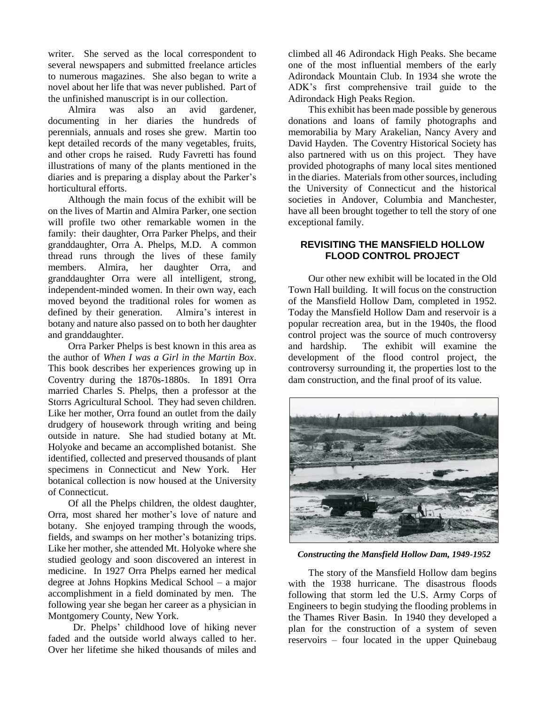writer. She served as the local correspondent to several newspapers and submitted freelance articles to numerous magazines. She also began to write a novel about her life that was never published. Part of the unfinished manuscript is in our collection.

Almira was also an avid gardener, documenting in her diaries the hundreds of perennials, annuals and roses she grew. Martin too kept detailed records of the many vegetables, fruits, and other crops he raised. Rudy Favretti has found illustrations of many of the plants mentioned in the diaries and is preparing a display about the Parker's horticultural efforts.

Although the main focus of the exhibit will be on the lives of Martin and Almira Parker, one section will profile two other remarkable women in the family: their daughter, Orra Parker Phelps, and their granddaughter, Orra A. Phelps, M.D. A common thread runs through the lives of these family members. Almira, her daughter Orra, and granddaughter Orra were all intelligent, strong, independent-minded women. In their own way, each moved beyond the traditional roles for women as defined by their generation. Almira's interest in botany and nature also passed on to both her daughter and granddaughter.

Orra Parker Phelps is best known in this area as the author of *When I was a Girl in the Martin Box*. This book describes her experiences growing up in Coventry during the 1870s-1880s. In 1891 Orra married Charles S. Phelps, then a professor at the Storrs Agricultural School. They had seven children. Like her mother, Orra found an outlet from the daily drudgery of housework through writing and being outside in nature. She had studied botany at Mt. Holyoke and became an accomplished botanist. She identified, collected and preserved thousands of plant specimens in Connecticut and New York. Her botanical collection is now housed at the University of Connecticut.

Of all the Phelps children, the oldest daughter, Orra, most shared her mother's love of nature and botany. She enjoyed tramping through the woods, fields, and swamps on her mother's botanizing trips. Like her mother, she attended Mt. Holyoke where she studied geology and soon discovered an interest in medicine. In 1927 Orra Phelps earned her medical degree at Johns Hopkins Medical School – a major accomplishment in a field dominated by men. The following year she began her career as a physician in Montgomery County, New York.

Dr. Phelps' childhood love of hiking never faded and the outside world always called to her. Over her lifetime she hiked thousands of miles and climbed all 46 Adirondack High Peaks. She became one of the most influential members of the early Adirondack Mountain Club. In 1934 she wrote the ADK's first comprehensive trail guide to the Adirondack High Peaks Region.

This exhibit has been made possible by generous donations and loans of family photographs and memorabilia by Mary Arakelian, Nancy Avery and David Hayden. The Coventry Historical Society has also partnered with us on this project. They have provided photographs of many local sites mentioned in the diaries. Materials from other sources, including the University of Connecticut and the historical societies in Andover, Columbia and Manchester, have all been brought together to tell the story of one exceptional family.

# **REVISITING THE MANSFIELD HOLLOW FLOOD CONTROL PROJECT**

Our other new exhibit will be located in the Old Town Hall building. It will focus on the construction of the Mansfield Hollow Dam, completed in 1952. Today the Mansfield Hollow Dam and reservoir is a popular recreation area, but in the 1940s, the flood control project was the source of much controversy and hardship. The exhibit will examine the development of the flood control project, the controversy surrounding it, the properties lost to the dam construction, and the final proof of its value.



*Constructing the Mansfield Hollow Dam, 1949-1952*

The story of the Mansfield Hollow dam begins with the 1938 hurricane. The disastrous floods following that storm led the U.S. Army Corps of Engineers to begin studying the flooding problems in the Thames River Basin. In 1940 they developed a plan for the construction of a system of seven reservoirs – four located in the upper Quinebaug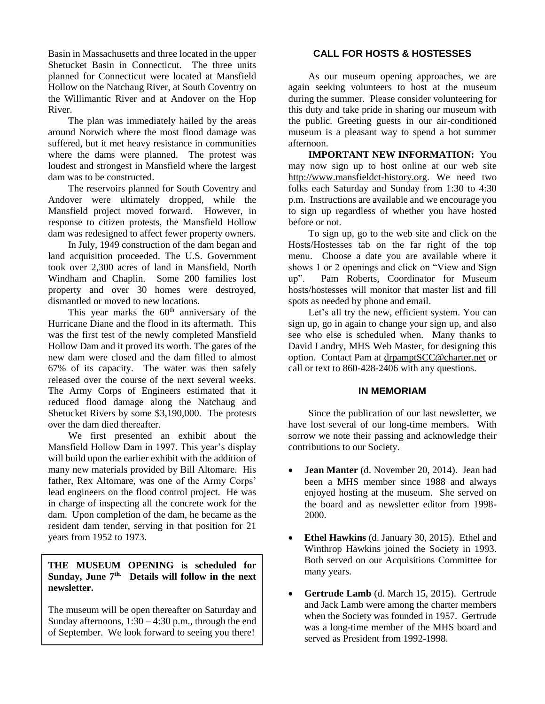Basin in Massachusetts and three located in the upper Shetucket Basin in Connecticut. The three units planned for Connecticut were located at Mansfield Hollow on the Natchaug River, at South Coventry on the Willimantic River and at Andover on the Hop River.

The plan was immediately hailed by the areas around Norwich where the most flood damage was suffered, but it met heavy resistance in communities where the dams were planned. The protest was loudest and strongest in Mansfield where the largest dam was to be constructed.

The reservoirs planned for South Coventry and Andover were ultimately dropped, while the Mansfield project moved forward. However, in response to citizen protests, the Mansfield Hollow dam was redesigned to affect fewer property owners.

In July, 1949 construction of the dam began and land acquisition proceeded. The U.S. Government took over 2,300 acres of land in Mansfield, North Windham and Chaplin. Some 200 families lost property and over 30 homes were destroyed, dismantled or moved to new locations.

This year marks the  $60<sup>th</sup>$  anniversary of the Hurricane Diane and the flood in its aftermath. This was the first test of the newly completed Mansfield Hollow Dam and it proved its worth. The gates of the new dam were closed and the dam filled to almost 67% of its capacity. The water was then safely released over the course of the next several weeks. The Army Corps of Engineers estimated that it reduced flood damage along the Natchaug and Shetucket Rivers by some \$3,190,000. The protests over the dam died thereafter.

We first presented an exhibit about the Mansfield Hollow Dam in 1997. This year's display will build upon the earlier exhibit with the addition of many new materials provided by Bill Altomare. His father, Rex Altomare, was one of the Army Corps' lead engineers on the flood control project. He was in charge of inspecting all the concrete work for the dam. Upon completion of the dam, he became as the resident dam tender, serving in that position for 21 years from 1952 to 1973.

# **THE MUSEUM OPENING is scheduled for Sunday, June 7 th. Details will follow in the next newsletter.**

The museum will be open thereafter on Saturday and Sunday afternoons,  $1:30 - 4:30$  p.m., through the end of September. We look forward to seeing you there!

# **CALL FOR HOSTS & HOSTESSES**

As our museum opening approaches, we are again seeking volunteers to host at the museum during the summer. Please consider volunteering for this duty and take pride in sharing our museum with the public. Greeting guests in our air-conditioned museum is a pleasant way to spend a hot summer afternoon.

**IMPORTANT NEW INFORMATION:** You may now sign up to host online at our web site [http://www.mansfieldct-history.org.](http://www.mansfieldct-history.org/) We need two folks each Saturday and Sunday from 1:30 to 4:30 p.m. Instructions are available and we encourage you to sign up regardless of whether you have hosted before or not.

To sign up, go to the web site and click on the Hosts/Hostesses tab on the far right of the top menu. Choose a date you are available where it shows 1 or 2 openings and click on "View and Sign up". Pam Roberts, Coordinator for Museum hosts/hostesses will monitor that master list and fill spots as needed by phone and email.

Let's all try the new, efficient system. You can sign up, go in again to change your sign up, and also see who else is scheduled when. Many thanks to David Landry, MHS Web Master, for designing this option. Contact Pam at [drpamptSCC@charter.net](mailto:drpamptSCC@charter.net) or call or text to 860-428-2406 with any questions.

# **IN MEMORIAM**

Since the publication of our last newsletter, we have lost several of our long-time members. With sorrow we note their passing and acknowledge their contributions to our Society.

- **Jean Manter** (d. November 20, 2014). Jean had been a MHS member since 1988 and always enjoyed hosting at the museum. She served on the board and as newsletter editor from 1998- 2000.
- **Ethel Hawkins** (d. January 30, 2015). Ethel and Winthrop Hawkins joined the Society in 1993. Both served on our Acquisitions Committee for many years.
- **Gertrude Lamb** (d. March 15, 2015). Gertrude and Jack Lamb were among the charter members when the Society was founded in 1957. Gertrude was a long-time member of the MHS board and served as President from 1992-1998.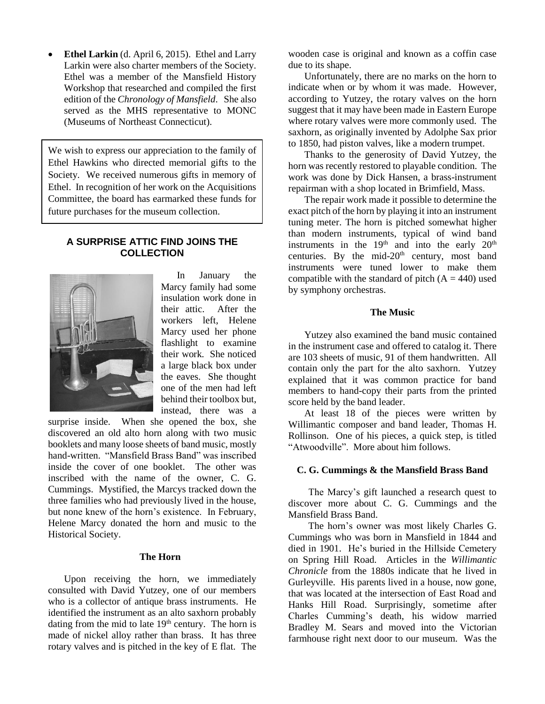• Ethel Larkin (d. April 6, 2015). Ethel and Larry Larkin were also charter members of the Society. Ethel was a member of the Mansfield History Workshop that researched and compiled the first edition of the *Chronology of Mansfield*. She also served as the MHS representative to MONC (Museums of Northeast Connecticut).

We wish to express our appreciation to the family of Ethel Hawkins who directed memorial gifts to the Society. We received numerous gifts in memory of Ethel. In recognition of her work on the Acquisitions Committee, the board has earmarked these funds for future purchases for the museum collection.

### **A SURPRISE ATTIC FIND JOINS THE COLLECTION**



In January the Marcy family had some insulation work done in their attic. After the workers left, Helene Marcy used her phone flashlight to examine their work. She noticed a large black box under the eaves. She thought one of the men had left behind their toolbox but, instead, there was a

surprise inside. When she opened the box, she discovered an old alto horn along with two music booklets and many loose sheets of band music, mostly hand-written. "Mansfield Brass Band" was inscribed inside the cover of one booklet. The other was inscribed with the name of the owner, C. G. Cummings. Mystified, the Marcys tracked down the three families who had previously lived in the house, but none knew of the horn's existence. In February, Helene Marcy donated the horn and music to the Historical Society.

# **The Horn**

Upon receiving the horn, we immediately consulted with David Yutzey, one of our members who is a collector of antique brass instruments. He identified the instrument as an alto saxhorn probably dating from the mid to late  $19<sup>th</sup>$  century. The horn is made of nickel alloy rather than brass. It has three rotary valves and is pitched in the key of E flat. The wooden case is original and known as a coffin case due to its shape.

Unfortunately, there are no marks on the horn to indicate when or by whom it was made. However, according to Yutzey, the rotary valves on the horn suggest that it may have been made in Eastern Europe where rotary valves were more commonly used. The saxhorn, as originally invented by Adolphe Sax prior to 1850, had piston valves, like a modern trumpet.

Thanks to the generosity of David Yutzey, the horn was recently restored to playable condition. The work was done by Dick Hansen, a brass-instrument repairman with a shop located in Brimfield, Mass.

The repair work made it possible to determine the exact pitch of the horn by playing it into an instrument tuning meter. The horn is pitched somewhat higher than modern instruments, typical of wind band instruments in the  $19<sup>th</sup>$  and into the early  $20<sup>th</sup>$ centuries. By the mid- $20<sup>th</sup>$  century, most band instruments were tuned lower to make them compatible with the standard of pitch  $(A = 440)$  used by symphony orchestras.

#### **The Music**

Yutzey also examined the band music contained in the instrument case and offered to catalog it. There are 103 sheets of music, 91 of them handwritten. All contain only the part for the alto saxhorn. Yutzey explained that it was common practice for band members to hand-copy their parts from the printed score held by the band leader.

At least 18 of the pieces were written by Willimantic composer and band leader, Thomas H. Rollinson. One of his pieces, a quick step, is titled "Atwoodville". More about him follows.

#### **C. G. Cummings & the Mansfield Brass Band**

The Marcy's gift launched a research quest to discover more about C. G. Cummings and the Mansfield Brass Band.

The horn's owner was most likely Charles G. Cummings who was born in Mansfield in 1844 and died in 1901. He's buried in the Hillside Cemetery on Spring Hill Road. Articles in the *Willimantic Chronicle* from the 1880s indicate that he lived in Gurleyville. His parents lived in a house, now gone, that was located at the intersection of East Road and Hanks Hill Road. Surprisingly, sometime after Charles Cumming's death, his widow married Bradley M. Sears and moved into the Victorian farmhouse right next door to our museum. Was the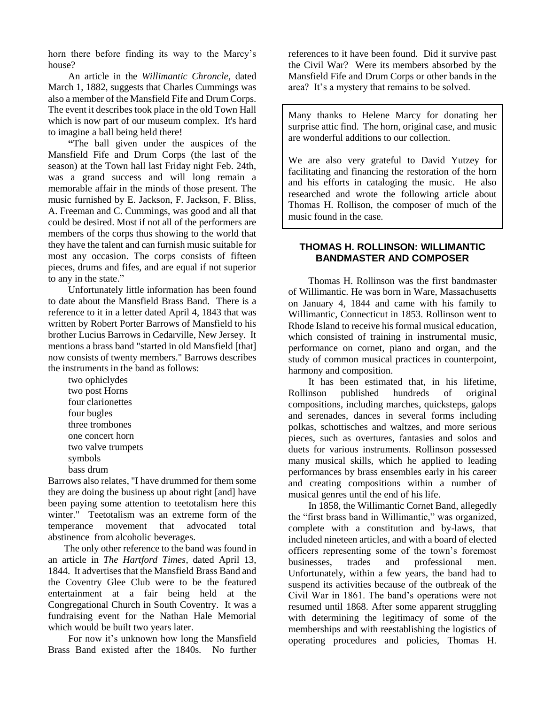horn there before finding its way to the Marcy's house?

An article in the *Willimantic Chroncle*, dated March 1, 1882, suggests that Charles Cummings was also a member of the Mansfield Fife and Drum Corps. The event it describes took place in the old Town Hall which is now part of our museum complex. It's hard to imagine a ball being held there!

**"**The ball given under the auspices of the Mansfield Fife and Drum Corps (the last of the season) at the Town hall last Friday night Feb. 24th, was a grand success and will long remain a memorable affair in the minds of those present. The music furnished by E. Jackson, F. Jackson, F. Bliss, A. Freeman and C. Cummings, was good and all that could be desired. Most if not all of the performers are members of the corps thus showing to the world that they have the talent and can furnish music suitable for most any occasion. The corps consists of fifteen pieces, drums and fifes, and are equal if not superior to any in the state."

Unfortunately little information has been found to date about the Mansfield Brass Band. There is a reference to it in a letter dated April 4, 1843 that was written by Robert Porter Barrows of Mansfield to his brother Lucius Barrows in Cedarville, New Jersey. It mentions a brass band "started in old Mansfield [that] now consists of twenty members." Barrows describes the instruments in the band as follows:

two ophiclydes two post Horns four clarionettes four bugles three trombones one concert horn two valve trumpets symbols bass drum

Barrows also relates, "I have drummed for them some they are doing the business up about right [and] have been paying some attention to teetotalism here this winter." Teetotalism was an extreme form of the temperance movement that advocated total abstinence from alcoholic beverages.

The only other reference to the band was found in an article in *The Hartford Times*, dated April 13, 1844. It advertises that the Mansfield Brass Band and the Coventry Glee Club were to be the featured entertainment at a fair being held at the Congregational Church in South Coventry. It was a fundraising event for the Nathan Hale Memorial which would be built two years later.

For now it's unknown how long the Mansfield Brass Band existed after the 1840s. No further

references to it have been found. Did it survive past the Civil War? Were its members absorbed by the Mansfield Fife and Drum Corps or other bands in the area? It's a mystery that remains to be solved.

Many thanks to Helene Marcy for donating her surprise attic find. The horn, original case, and music are wonderful additions to our collection.

We are also very grateful to David Yutzey for facilitating and financing the restoration of the horn and his efforts in cataloging the music. He also researched and wrote the following article about Thomas H. Rollison, the composer of much of the music found in the case.

#### **THOMAS H. ROLLINSON: WILLIMANTIC BANDMASTER AND COMPOSER**

Thomas H. Rollinson was the first bandmaster of Willimantic. He was born in Ware, Massachusetts on January 4, 1844 and came with his family to Willimantic, Connecticut in 1853. Rollinson went to Rhode Island to receive his formal musical education, which consisted of training in instrumental music, performance on cornet, piano and organ, and the study of common musical practices in counterpoint, harmony and composition.

It has been estimated that, in his lifetime, Rollinson published hundreds of original compositions, including marches, quicksteps, galops and serenades, dances in several forms including polkas, schottisches and waltzes, and more serious pieces, such as overtures, fantasies and solos and duets for various instruments. Rollinson possessed many musical skills, which he applied to leading performances by brass ensembles early in his career and creating compositions within a number of musical genres until the end of his life.

In 1858, the Willimantic Cornet Band, allegedly the "first brass band in Willimantic," was organized, complete with a constitution and by-laws, that included nineteen articles, and with a board of elected officers representing some of the town's foremost businesses, trades and professional men. Unfortunately, within a few years, the band had to suspend its activities because of the outbreak of the Civil War in 1861. The band's operations were not resumed until 1868. After some apparent struggling with determining the legitimacy of some of the memberships and with reestablishing the logistics of operating procedures and policies, Thomas H.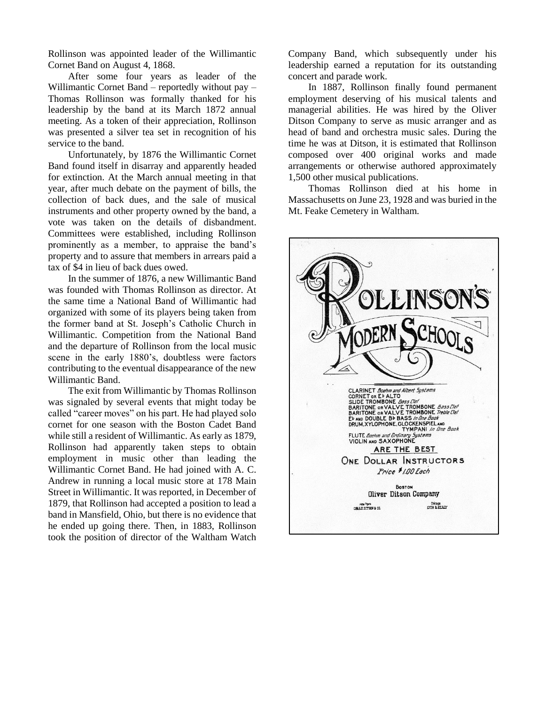Rollinson was appointed leader of the Willimantic Cornet Band on August 4, 1868.

After some four years as leader of the Willimantic Cornet Band – reportedly without pay – Thomas Rollinson was formally thanked for his leadership by the band at its March 1872 annual meeting. As a token of their appreciation, Rollinson was presented a silver tea set in recognition of his service to the band.

Unfortunately, by 1876 the Willimantic Cornet Band found itself in disarray and apparently headed for extinction. At the March annual meeting in that year, after much debate on the payment of bills, the collection of back dues, and the sale of musical instruments and other property owned by the band, a vote was taken on the details of disbandment. Committees were established, including Rollinson prominently as a member, to appraise the band's property and to assure that members in arrears paid a tax of \$4 in lieu of back dues owed.

In the summer of 1876, a new Willimantic Band was founded with Thomas Rollinson as director. At the same time a National Band of Willimantic had organized with some of its players being taken from the former band at St. Joseph's Catholic Church in Willimantic. Competition from the National Band and the departure of Rollinson from the local music scene in the early 1880's, doubtless were factors contributing to the eventual disappearance of the new Willimantic Band.

The exit from Willimantic by Thomas Rollinson was signaled by several events that might today be called "career moves" on his part. He had played solo cornet for one season with the Boston Cadet Band while still a resident of Willimantic. As early as 1879, Rollinson had apparently taken steps to obtain employment in music other than leading the Willimantic Cornet Band. He had joined with A. C. Andrew in running a local music store at 178 Main Street in Willimantic. It was reported, in December of 1879, that Rollinson had accepted a position to lead a band in Mansfield, Ohio, but there is no evidence that he ended up going there. Then, in 1883, Rollinson took the position of director of the Waltham Watch

Company Band, which subsequently under his leadership earned a reputation for its outstanding concert and parade work.

In 1887, Rollinson finally found permanent employment deserving of his musical talents and managerial abilities. He was hired by the Oliver Ditson Company to serve as music arranger and as head of band and orchestra music sales. During the time he was at Ditson, it is estimated that Rollinson composed over 400 original works and made arrangements or otherwise authored approximately 1,500 other musical publications.

Thomas Rollinson died at his home in Massachusetts on June 23, 1928 and was buried in the Mt. Feake Cemetery in Waltham.